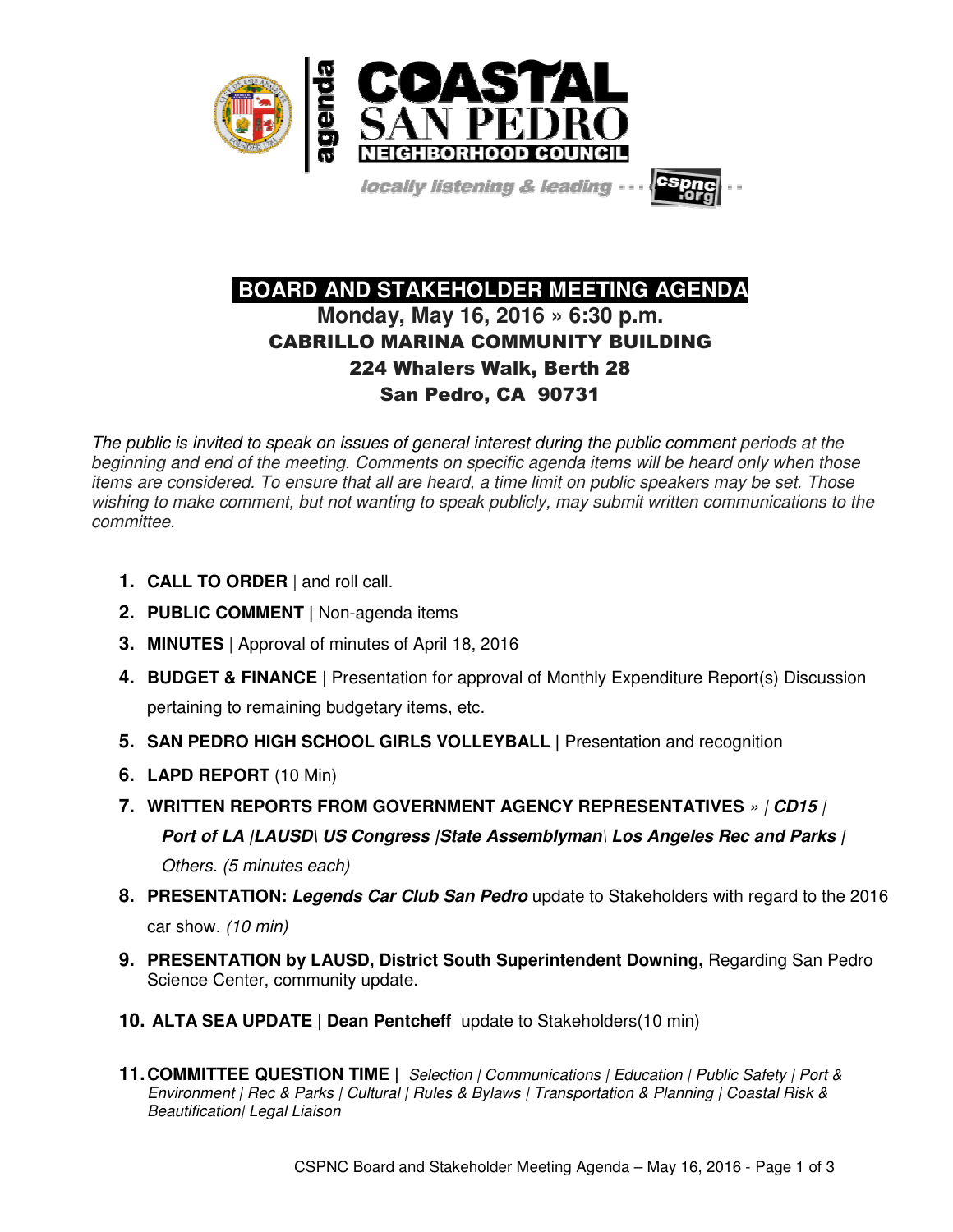

locally listening & leading

# **BOARD AND STAKEHOLDER MEETING AGENDA Monday, May 16, 2016 » 6:30 p.m.**  CABRILLO MARINA COMMUNITY BUILDING 224 Whalers Walk, Berth 28 San Pedro, CA 90731

The public is invited to speak on issues of general interest during the public comment periods at the beginning and end of the meeting. Comments on specific agenda items will be heard only when those items are considered. To ensure that all are heard, a time limit on public speakers may be set. Those wishing to make comment, but not wanting to speak publicly, may submit written communications to the committee.

- **1. CALL TO ORDER** | and roll call.
- **2. PUBLIC COMMENT |** Non-agenda items
- **3. MINUTES** | Approval of minutes of April 18, 2016
- **4. BUDGET & FINANCE |** Presentation for approval of Monthly Expenditure Report(s) Discussion pertaining to remaining budgetary items, etc.
- **5. SAN PEDRO HIGH SCHOOL GIRLS VOLLEYBALL |** Presentation and recognition
- **6. LAPD REPORT** (10 Min)
- **7. WRITTEN REPORTS FROM GOVERNMENT AGENCY REPRESENTATIVES** » | **CD15** | **Port of LA |LAUSD\ US Congress |State Assemblyman**\ **Los Angeles Rec and Parks |**  Others. (5 minutes each)
- **8. PRESENTATION: Legends Car Club San Pedro** update to Stakeholders with regard to the 2016 car show. (10 min)
- **9. PRESENTATION by LAUSD, District South Superintendent Downing, Regarding San Pedro** Science Center, community update.
- **10. ALTA SEA UPDATE | Dean Pentcheff** update to Stakeholders(10 min)
- **11. COMMITTEE QUESTION TIME |** Selection | Communications | Education | Public Safety | Port & Environment | Rec & Parks | Cultural | Rules & Bylaws | Transportation & Planning | Coastal Risk & Beautification| Legal Liaison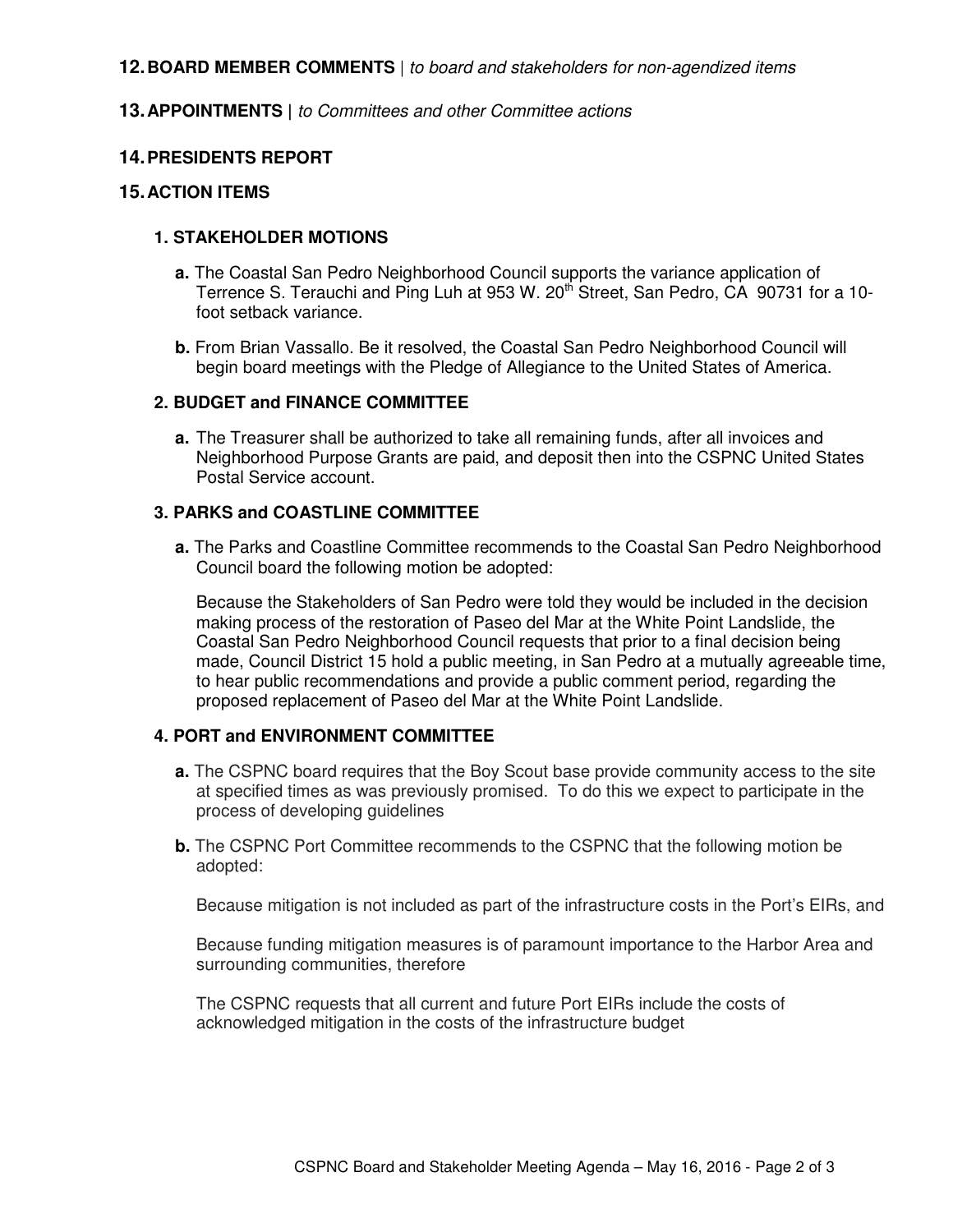## **12. BOARD MEMBER COMMENTS** | to board and stakeholders for non-agendized items

## **13. APPOINTMENTS |** to Committees and other Committee actions

## **14. PRESIDENTS REPORT**

## **15. ACTION ITEMS**

## **1. STAKEHOLDER MOTIONS**

- **a.** The Coastal San Pedro Neighborhood Council supports the variance application of Terrence S. Terauchi and Ping Luh at 953 W. 20<sup>th</sup> Street, San Pedro, CA 90731 for a 10foot setback variance.
- **b.** From Brian Vassallo. Be it resolved, the Coastal San Pedro Neighborhood Council will begin board meetings with the Pledge of Allegiance to the United States of America.

#### **2. BUDGET and FINANCE COMMITTEE**

**a.** The Treasurer shall be authorized to take all remaining funds, after all invoices and Neighborhood Purpose Grants are paid, and deposit then into the CSPNC United States Postal Service account.

#### **3. PARKS and COASTLINE COMMITTEE**

**a.** The Parks and Coastline Committee recommends to the Coastal San Pedro Neighborhood Council board the following motion be adopted:

Because the Stakeholders of San Pedro were told they would be included in the decision making process of the restoration of Paseo del Mar at the White Point Landslide, the Coastal San Pedro Neighborhood Council requests that prior to a final decision being made, Council District 15 hold a public meeting, in San Pedro at a mutually agreeable time, to hear public recommendations and provide a public comment period, regarding the proposed replacement of Paseo del Mar at the White Point Landslide.

#### **4. PORT and ENVIRONMENT COMMITTEE**

- **a.** The CSPNC board requires that the Boy Scout base provide community access to the site at specified times as was previously promised. To do this we expect to participate in the process of developing guidelines
- **b.** The CSPNC Port Committee recommends to the CSPNC that the following motion be adopted:

Because mitigation is not included as part of the infrastructure costs in the Port's EIRs, and

Because funding mitigation measures is of paramount importance to the Harbor Area and surrounding communities, therefore

The CSPNC requests that all current and future Port EIRs include the costs of acknowledged mitigation in the costs of the infrastructure budget